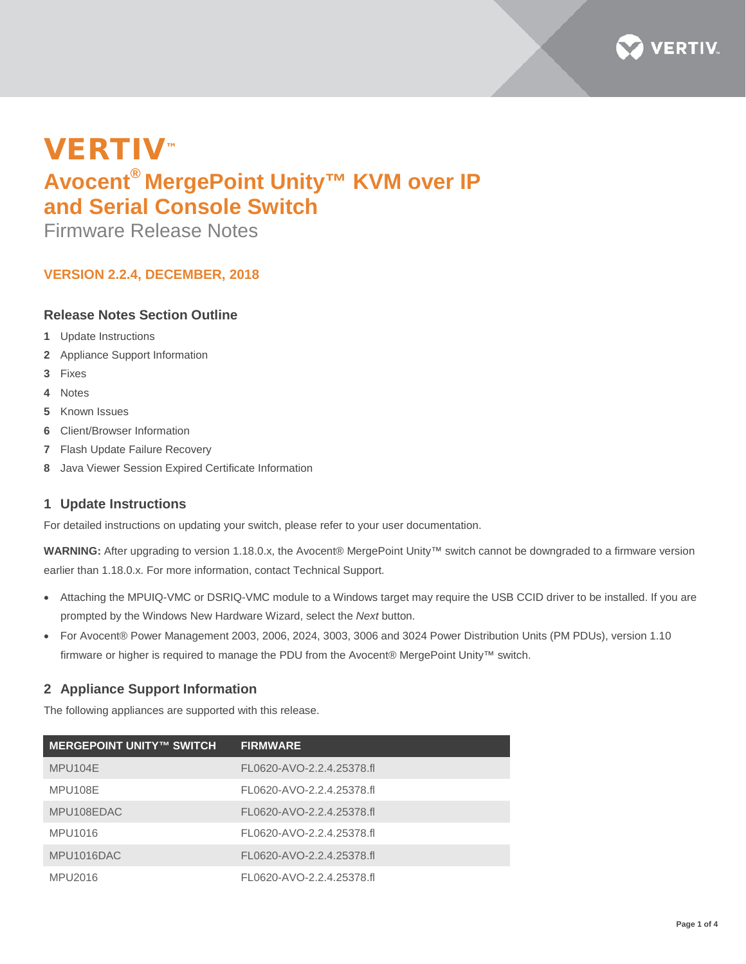

# VERTIV™ **Avocent® MergePoint Unity™ KVM over IP and Serial Console Switch**

Firmware Release Notes

# **VERSION 2.2.4, DECEMBER, 2018**

# **Release Notes Section Outline**

- **1** Update Instructions
- **2** Appliance Support Information
- **3** Fixes
- **4** Notes
- **5** Known Issues
- **6** Client/Browser Information
- **7** Flash Update Failure Recovery
- **8** Java Viewer Session Expired Certificate Information

## **1 Update Instructions**

For detailed instructions on updating your switch, please refer to your user documentation.

**WARNING:** After upgrading to version 1.18.0.x, the Avocent® MergePoint Unity™ switch cannot be downgraded to a firmware version earlier than 1.18.0.x. For more information, contact Technical Support.

- Attaching the MPUIQ-VMC or DSRIQ-VMC module to a Windows target may require the USB CCID driver to be installed. If you are prompted by the Windows New Hardware Wizard, select the *Next* button.
- For Avocent® Power Management 2003, 2006, 2024, 3003, 3006 and 3024 Power Distribution Units (PM PDUs), version 1.10 firmware or higher is required to manage the PDU from the Avocent® MergePoint Unity™ switch.

# **2 Appliance Support Information**

The following appliances are supported with this release.

| <b>MERGEPOINT UNITY™ SWITCH</b> | <b>FIRMWARE</b>           |
|---------------------------------|---------------------------|
| MPU104E                         | FL0620-AVO-2.2.4.25378.fl |
| MPU108E                         | FL0620-AVO-2.2.4.25378.fl |
| MPU108EDAC                      | FL0620-AVO-2.2.4.25378.fl |
| MPU1016                         | FL0620-AVO-2.2.4.25378.fl |
| MPU1016DAC                      | FL0620-AVO-2.2.4.25378.fl |
| MPU2016                         | FL0620-AVO-2.2.4.25378.fl |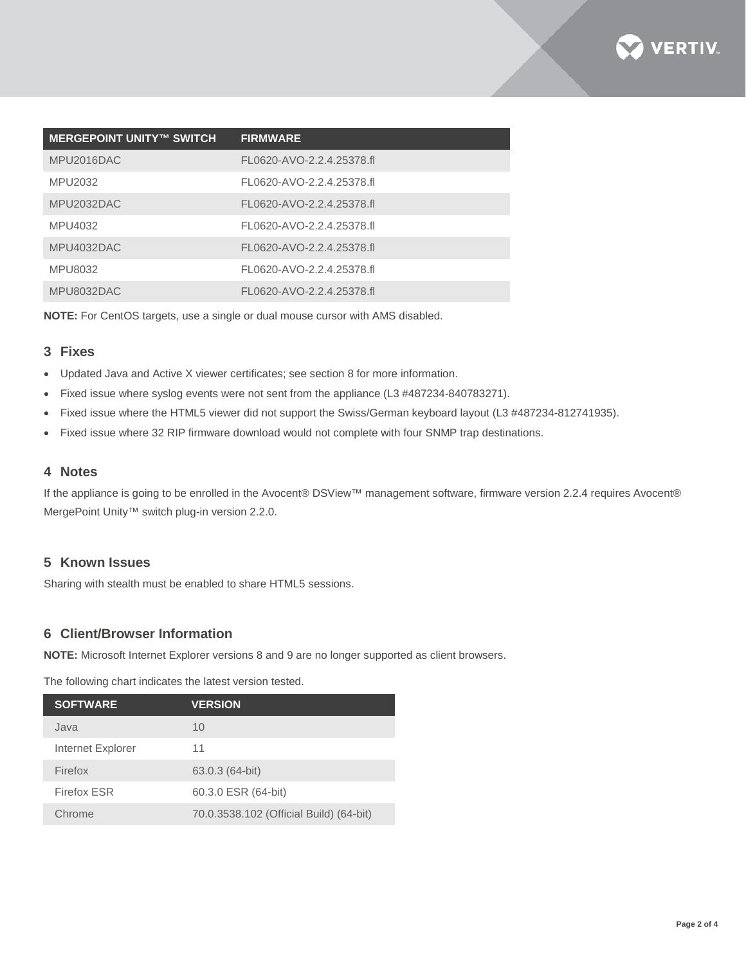

| <b>MERGEPOINT UNITY™ SWITCH</b> | <b>FIRMWARE</b>           |
|---------------------------------|---------------------------|
| MPU2016DAC                      | FL0620-AVO-2.2.4.25378.fl |
| MPU2032                         | FL0620-AVO-2.2.4.25378.fl |
| MPU2032DAC                      | FL0620-AVO-2.2.4.25378.fl |
| MPU4032                         | FL0620-AVO-2.2.4.25378.fl |
| MPU4032DAC                      | FL0620-AVO-2.2.4.25378.fl |
| MPU8032                         | FL0620-AVO-2.2.4.25378.fl |
| MPU8032DAC                      | FL0620-AVO-2.2.4.25378.fl |

**NOTE:** For CentOS targets, use a single or dual mouse cursor with AMS disabled.

## **3 Fixes**

- Updated Java and Active X viewer certificates; see section 8 for more information.
- Fixed issue where syslog events were not sent from the appliance (L3 #487234-840783271).
- Fixed issue where the HTML5 viewer did not support the Swiss/German keyboard layout (L3 #487234-812741935).
- Fixed issue where 32 RIP firmware download would not complete with four SNMP trap destinations.

#### **4 Notes**

If the appliance is going to be enrolled in the Avocent® DSView™ management software, firmware version 2.2.4 requires Avocent® MergePoint Unity™ switch plug-in version 2.2.0.

## **5 Known Issues**

Sharing with stealth must be enabled to share HTML5 sessions.

## **6 Client/Browser Information**

**NOTE:** Microsoft Internet Explorer versions 8 and 9 are no longer supported as client browsers.

The following chart indicates the latest version tested.

| <b>SOFTWARE</b>   | <b>VERSION</b>                          |
|-------------------|-----------------------------------------|
| Java              | 10                                      |
| Internet Explorer | 11                                      |
| Firefox           | 63.0.3 (64-bit)                         |
| Firefox ESR       | 60.3.0 ESR (64-bit)                     |
| Chrome            | 70.0.3538.102 (Official Build) (64-bit) |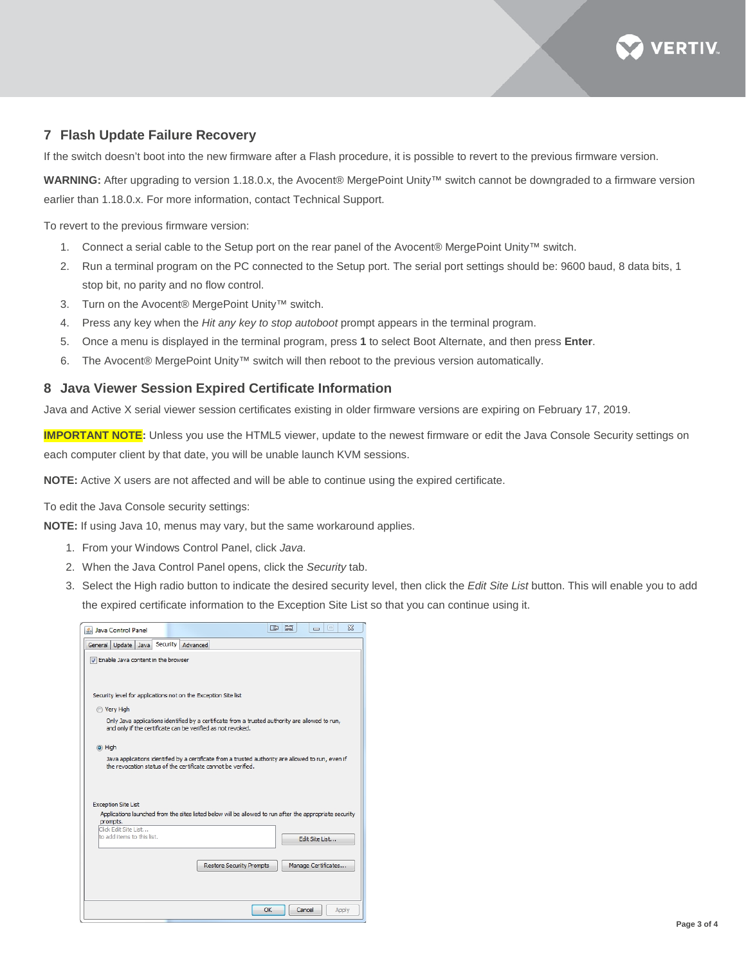

## **7 Flash Update Failure Recovery**

If the switch doesn't boot into the new firmware after a Flash procedure, it is possible to revert to the previous firmware version.

**WARNING:** After upgrading to version 1.18.0.x, the Avocent® MergePoint Unity™ switch cannot be downgraded to a firmware version earlier than 1.18.0.x. For more information, contact Technical Support.

To revert to the previous firmware version:

- 1. Connect a serial cable to the Setup port on the rear panel of the Avocent® MergePoint Unity™ switch.
- 2. Run a terminal program on the PC connected to the Setup port. The serial port settings should be: 9600 baud, 8 data bits, 1 stop bit, no parity and no flow control.
- 3. Turn on the Avocent® MergePoint Unity™ switch.
- 4. Press any key when the *Hit any key to stop autoboot* prompt appears in the terminal program.
- 5. Once a menu is displayed in the terminal program, press **1** to select Boot Alternate, and then press **Enter**.
- 6. The Avocent® MergePoint Unity™ switch will then reboot to the previous version automatically.

## **8 Java Viewer Session Expired Certificate Information**

Java and Active X serial viewer session certificates existing in older firmware versions are expiring on February 17, 2019.

**IMPORTANT NOTE:** Unless you use the HTML5 viewer, update to the newest firmware or edit the Java Console Security settings on each computer client by that date, you will be unable launch KVM sessions.

**NOTE:** Active X users are not affected and will be able to continue using the expired certificate.

To edit the Java Console security settings:

**NOTE:** If using Java 10, menus may vary, but the same workaround applies.

- 1. From your Windows Control Panel, click *Java*.
- 2. When the Java Control Panel opens, click the *Security* tab.
- 3. Select the High radio button to indicate the desired security level, then click the *Edit Site List* button. This will enable you to add the expired certificate information to the Exception Site List so that you can continue using it.

| S Java Control Panel                                                                                                                                               | $\Sigma$<br><b>III</b><br>$\Box$<br>車<br>$\Box$ |  |  |
|--------------------------------------------------------------------------------------------------------------------------------------------------------------------|-------------------------------------------------|--|--|
| Security<br>Advanced<br>General Update Java                                                                                                                        |                                                 |  |  |
| T Enable Java content in the browser                                                                                                                               |                                                 |  |  |
|                                                                                                                                                                    |                                                 |  |  |
| Security level for applications not on the Exception Site list                                                                                                     |                                                 |  |  |
| <b>Nery High</b>                                                                                                                                                   |                                                 |  |  |
| Only Java applications identified by a certificate from a trusted authority are allowed to run,<br>and only if the certificate can be verified as not revoked.     |                                                 |  |  |
| (a) High                                                                                                                                                           |                                                 |  |  |
| Java applications identified by a certificate from a trusted authority are allowed to run, even if<br>the revocation status of the certificate cannot be verified. |                                                 |  |  |
|                                                                                                                                                                    |                                                 |  |  |
| <b>Exception Site List</b>                                                                                                                                         |                                                 |  |  |
| Applications launched from the sites listed below will be allowed to run after the appropriate security<br>prompts.                                                |                                                 |  |  |
| Click Edit Site List                                                                                                                                               |                                                 |  |  |
| to add items to this list.                                                                                                                                         | Edit Site List                                  |  |  |
|                                                                                                                                                                    |                                                 |  |  |
| <b>Restore Security Prompts</b>                                                                                                                                    | Manage Certificates                             |  |  |
|                                                                                                                                                                    |                                                 |  |  |
|                                                                                                                                                                    |                                                 |  |  |
|                                                                                                                                                                    | OK<br>Cancel<br>Apply                           |  |  |